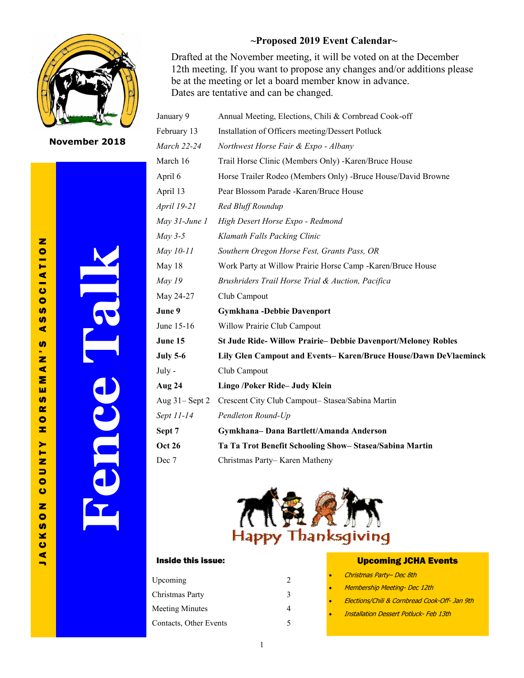

**November 2018**

J A C K S O N C O U N T Y H O R S E M A N ' S A S S O C I A T I O N  $\overline{\mathbf{z}}$  $\blacktriangleleft$ **u S**  $\blacktriangleleft$  $\boldsymbol{\omega}$  $\blacktriangleleft$ Σ ш  $\alpha$  $\bullet$ Ŧ.  $\overline{\mathbf{z}}$ ×

 $\bullet$  $\overline{r}$ 

> ▄  $\ddot{\mathbf{c}}$  $\bullet$

 $\overline{\mathbf{z}}$ 

 $\boldsymbol{\omega}$ 

 $\blacktriangleright$ Ē z  $\Rightarrow$  $\bullet$  $\bullet$ 

 $\bullet$ **SD** 

 $\bullet$  $\blacktriangleleft$  $\blacksquare$ 

**Fence Talk**

## **~Proposed 2019 Event Calendar~**

Drafted at the November meeting, it will be voted on at the December 12th meeting. If you want to propose any changes and/or additions please be at the meeting or let a board member know in advance. Dates are tentative and can be changed.

| January 9         | Annual Meeting, Elections, Chili & Cornbread Cook-off              |  |  |
|-------------------|--------------------------------------------------------------------|--|--|
| February 13       | Installation of Officers meeting/Dessert Potluck                   |  |  |
| March 22-24       | Northwest Horse Fair & Expo - Albany                               |  |  |
| March 16          | Trail Horse Clinic (Members Only) - Karen/Bruce House              |  |  |
| April 6           | Horse Trailer Rodeo (Members Only) -Bruce House/David Browne       |  |  |
| April 13          | Pear Blossom Parade - Karen/Bruce House                            |  |  |
| April 19-21       | Red Bluff Roundup                                                  |  |  |
| May 31-June 1     | High Desert Horse Expo - Redmond                                   |  |  |
| $May 3-5$         | Klamath Falls Packing Clinic                                       |  |  |
| May 10-11         | Southern Oregon Horse Fest, Grants Pass, OR                        |  |  |
| May 18            | Work Party at Willow Prairie Horse Camp - Karen/Bruce House        |  |  |
| <b>May 19</b>     | Brushriders Trail Horse Trial & Auction, Pacifica                  |  |  |
| May 24-27         | Club Campout                                                       |  |  |
| June 9            | <b>Gymkhana-Debbie Davenport</b>                                   |  |  |
| June 15-16        | Willow Prairie Club Campout                                        |  |  |
| June 15           | <b>St Jude Ride-Willow Prairie-Debbie Davenport/Meloney Robles</b> |  |  |
| <b>July 5-6</b>   | Lily Glen Campout and Events-Karen/Bruce House/Dawn DeVlaeminck    |  |  |
| July -            | Club Campout                                                       |  |  |
| Aug 24            | Lingo /Poker Ride- Judy Klein                                      |  |  |
| Aug $31 -$ Sept 2 | Crescent City Club Campout-Stasea/Sabina Martin                    |  |  |
| Sept 11-14        | Pendleton Round-Up                                                 |  |  |
| Sept 7            | Gymkhana-Dana Bartlett/Amanda Anderson                             |  |  |
| <b>Oct 26</b>     | Ta Ta Trot Benefit Schooling Show-Stasea/Sabina Martin             |  |  |
| Dec 7             | Christmas Party-Karen Matheny                                      |  |  |



### Inside this issue:

| Upcoming               | $\mathcal{L}$ |
|------------------------|---------------|
| Christmas Party        | 3             |
| <b>Meeting Minutes</b> |               |
| Contacts, Other Events | 5             |
|                        |               |

### Upcoming JCHA Events

- Christmas Party– Dec 8th
- Membership Meeting- Dec 12th
- Elections/Chili & Cornbread Cook-Off- Jan 9th
- Installation Dessert Potluck- Feb 13th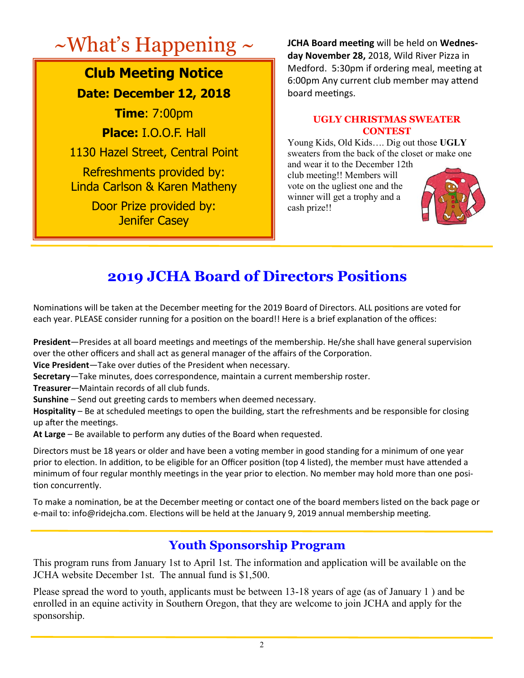# $\sim$  What's Happening  $\sim$  **JCHA Board meeting will be held on Wednes-**

# **Club Meeting Notice Date: December 12, 2018**

**Time**: 7:00pm **Place:** I.O.O.F. Hall 1130 Hazel Street, Central Point Refreshments provided by: Linda Carlson & Karen Matheny Door Prize provided by: Jenifer Casey

**day November 28,** 2018, Wild River Pizza in Medford. 5:30pm if ordering meal, meeting at 6:00pm Any current club member may attend board meetings.

## **UGLY CHRISTMAS SWEATER CONTEST**

Young Kids, Old Kids…. Dig out those **UGLY** sweaters from the back of the closet or make one

and wear it to the December 12th club meeting!! Members will vote on the ugliest one and the winner will get a trophy and a cash prize!!



# **2019 JCHA Board of Directors Positions**

Nominations will be taken at the December meeting for the 2019 Board of Directors. ALL positions are voted for each year. PLEASE consider running for a position on the board!! Here is a brief explanation of the offices:

**President**—Presides at all board meetings and meetings of the membership. He/she shall have general supervision over the other officers and shall act as general manager of the affairs of the Corporation.

**Vice President**—Take over duties of the President when necessary.

**Secretary**—Take minutes, does correspondence, maintain a current membership roster.

**Treasurer**—Maintain records of all club funds.

**Sunshine** – Send out greeting cards to members when deemed necessary.

**Hospitality** – Be at scheduled meetings to open the building, start the refreshments and be responsible for closing up after the meetings.

**At Large** – Be available to perform any duties of the Board when requested.

Directors must be 18 years or older and have been a voting member in good standing for a minimum of one year prior to election. In addition, to be eligible for an Officer position (top 4 listed), the member must have attended a minimum of four regular monthly meetings in the year prior to election. No member may hold more than one position concurrently.

To make a nomination, be at the December meeting or contact one of the board members listed on the back page or e-mail to: info@ridejcha.com. Elections will be held at the January 9, 2019 annual membership meeting.

# **Youth Sponsorship Program**

This program runs from January 1st to April 1st. The information and application will be available on the JCHA website December 1st. The annual fund is \$1,500.

Please spread the word to youth, applicants must be between 13-18 years of age (as of January 1 ) and be enrolled in an equine activity in Southern Oregon, that they are welcome to join JCHA and apply for the sponsorship.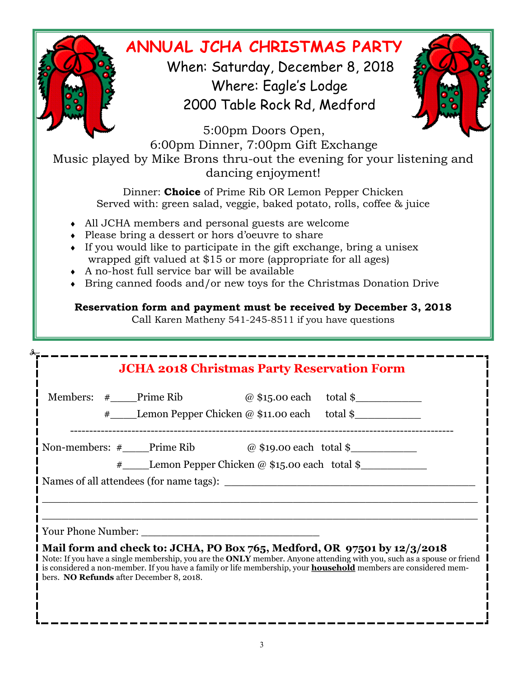# **ANNUAL JCHA CHRISTMAS PARTY**

 When: Saturday, December 8, 2018 Where: Eagle's Lodge 2000 Table Rock Rd, Medford



5:00pm Doors Open, 6:00pm Dinner, 7:00pm Gift Exchange Music played by Mike Brons thru-out the evening for your listening and dancing enjoyment!

> Dinner: **Choice** of Prime Rib OR Lemon Pepper Chicken Served with: green salad, veggie, baked potato, rolls, coffee & juice

- All JCHA members and personal guests are welcome
- Please bring a dessert or hors d'oeuvre to share
- $\bullet$  If you would like to participate in the gift exchange, bring a unisex wrapped gift valued at \$15 or more (appropriate for all ages)
- A no-host full service bar will be available

á

Bring canned foods and/or new toys for the Christmas Donation Drive

# **Reservation form and payment must be received by December 3, 2018**

Call Karen Matheny 541-245-8511 if you have questions

| <b>JCHA 2018 Christmas Party Reservation Form</b> |                                                            |  |                                                                                                                                                                                                                                                                                                                                        |  |  |  |
|---------------------------------------------------|------------------------------------------------------------|--|----------------------------------------------------------------------------------------------------------------------------------------------------------------------------------------------------------------------------------------------------------------------------------------------------------------------------------------|--|--|--|
|                                                   | Members: $\#$ Prime Rib $\omega$ \$15.00 each total \$     |  |                                                                                                                                                                                                                                                                                                                                        |  |  |  |
|                                                   | # Lemon Pepper Chicken @ \$11.00 each total \$             |  |                                                                                                                                                                                                                                                                                                                                        |  |  |  |
|                                                   | Non-members: $\#$ Prime Rib $\omega$ \$19.00 each total \$ |  |                                                                                                                                                                                                                                                                                                                                        |  |  |  |
|                                                   | # Lemon Pepper Chicken @ \$15.00 each total \$             |  |                                                                                                                                                                                                                                                                                                                                        |  |  |  |
|                                                   |                                                            |  |                                                                                                                                                                                                                                                                                                                                        |  |  |  |
|                                                   |                                                            |  |                                                                                                                                                                                                                                                                                                                                        |  |  |  |
|                                                   |                                                            |  |                                                                                                                                                                                                                                                                                                                                        |  |  |  |
| bers. NO Refunds after December 8, 2018.          |                                                            |  | I Mail form and check to: JCHA, PO Box 765, Medford, OR 97501 by $12/3/2018$<br>Note: If you have a single membership, you are the <b>ONLY</b> member. Anyone attending with you, such as a spouse or friend<br>is considered a non-member. If you have a family or life membership, your <b>household</b> members are considered mem- |  |  |  |
|                                                   |                                                            |  |                                                                                                                                                                                                                                                                                                                                        |  |  |  |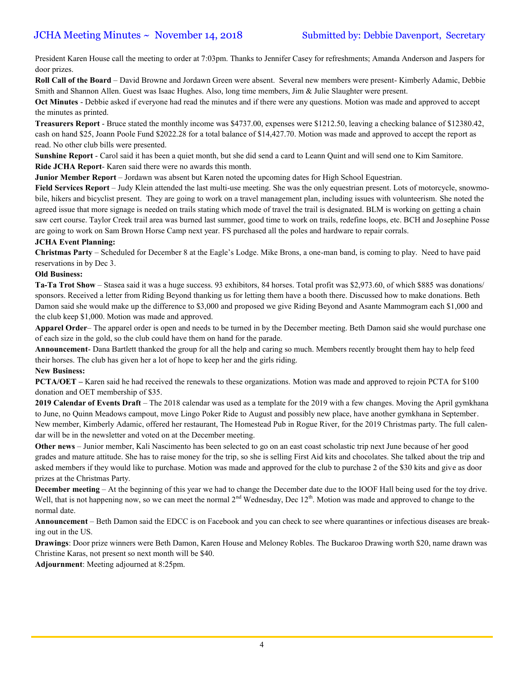President Karen House call the meeting to order at 7:03pm. Thanks to Jennifer Casey for refreshments; Amanda Anderson and Jaspers for door prizes.

**Roll Call of the Board** – David Browne and Jordawn Green were absent. Several new members were present- Kimberly Adamic, Debbie Smith and Shannon Allen. Guest was Isaac Hughes. Also, long time members, Jim & Julie Slaughter were present.

**Oct Minutes** - Debbie asked if everyone had read the minutes and if there were any questions. Motion was made and approved to accept the minutes as printed.

**Treasurers Report** - Bruce stated the monthly income was \$4737.00, expenses were \$1212.50, leaving a checking balance of \$12380.42, cash on hand \$25, Joann Poole Fund \$2022.28 for a total balance of \$14,427.70. Motion was made and approved to accept the report as read. No other club bills were presented.

**Sunshine Report** - Carol said it has been a quiet month, but she did send a card to Leann Quint and will send one to Kim Samitore. **Ride JCHA Report**- Karen said there were no awards this month.

**Junior Member Report** – Jordawn was absent but Karen noted the upcoming dates for High School Equestrian.

Field Services Report – Judy Klein attended the last multi-use meeting. She was the only equestrian present. Lots of motorcycle, snowmobile, hikers and bicyclist present. They are going to work on a travel management plan, including issues with volunteerism. She noted the agreed issue that more signage is needed on trails stating which mode of travel the trail is designated. BLM is working on getting a chain saw cert course. Taylor Creek trail area was burned last summer, good time to work on trails, redefine loops, etc. BCH and Josephine Posse are going to work on Sam Brown Horse Camp next year. FS purchased all the poles and hardware to repair corrals.

### **JCHA Event Planning:**

**Christmas Party** – Scheduled for December 8 at the Eagle's Lodge. Mike Brons, a one-man band, is coming to play. Need to have paid reservations in by Dec 3.

### **Old Business:**

**Ta-Ta Trot Show** – Stasea said it was a huge success. 93 exhibitors, 84 horses. Total profit was \$2,973.60, of which \$885 was donations/ sponsors. Received a letter from Riding Beyond thanking us for letting them have a booth there. Discussed how to make donations. Beth Damon said she would make up the difference to \$3,000 and proposed we give Riding Beyond and Asante Mammogram each \$1,000 and the club keep \$1,000. Motion was made and approved.

**Apparel Order**– The apparel order is open and needs to be turned in by the December meeting. Beth Damon said she would purchase one of each size in the gold, so the club could have them on hand for the parade.

**Announcement**- Dana Bartlett thanked the group for all the help and caring so much. Members recently brought them hay to help feed their horses. The club has given her a lot of hope to keep her and the girls riding.

### **New Business:**

**PCTA/OET –** Karen said he had received the renewals to these organizations. Motion was made and approved to rejoin PCTA for \$100 donation and OET membership of \$35.

**2019 Calendar of Events Draft** – The 2018 calendar was used as a template for the 2019 with a few changes. Moving the April gymkhana to June, no Quinn Meadows campout, move Lingo Poker Ride to August and possibly new place, have another gymkhana in September. New member, Kimberly Adamic, offered her restaurant, The Homestead Pub in Rogue River, for the 2019 Christmas party. The full calendar will be in the newsletter and voted on at the December meeting.

**Other news** – Junior member, Kali Nascimento has been selected to go on an east coast scholastic trip next June because of her good grades and mature attitude. She has to raise money for the trip, so she is selling First Aid kits and chocolates. She talked about the trip and asked members if they would like to purchase. Motion was made and approved for the club to purchase 2 of the \$30 kits and give as door prizes at the Christmas Party.

**December meeting** – At the beginning of this year we had to change the December date due to the IOOF Hall being used for the toy drive. Well, that is not happening now, so we can meet the normal  $2<sup>nd</sup>$  Wednesday, Dec  $12<sup>th</sup>$ . Motion was made and approved to change to the normal date.

**Announcement** – Beth Damon said the EDCC is on Facebook and you can check to see where quarantines or infectious diseases are breaking out in the US.

**Drawings**: Door prize winners were Beth Damon, Karen House and Meloney Robles. The Buckaroo Drawing worth \$20, name drawn was Christine Karas, not present so next month will be \$40.

**Adjournment**: Meeting adjourned at 8:25pm.